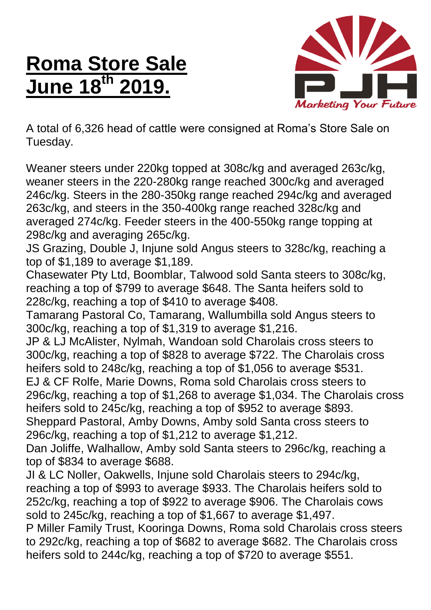## **Roma Store Sale June 18 th 2019.**



A total of 6,326 head of cattle were consigned at Roma's Store Sale on Tuesday.

Weaner steers under 220kg topped at 308c/kg and averaged 263c/kg, weaner steers in the 220-280kg range reached 300c/kg and averaged 246c/kg. Steers in the 280-350kg range reached 294c/kg and averaged 263c/kg, and steers in the 350-400kg range reached 328c/kg and averaged 274c/kg. Feeder steers in the 400-550kg range topping at 298c/kg and averaging 265c/kg.

JS Grazing, Double J, Injune sold Angus steers to 328c/kg, reaching a top of \$1,189 to average \$1,189.

Chasewater Pty Ltd, Boomblar, Talwood sold Santa steers to 308c/kg, reaching a top of \$799 to average \$648. The Santa heifers sold to 228c/kg, reaching a top of \$410 to average \$408.

Tamarang Pastoral Co, Tamarang, Wallumbilla sold Angus steers to 300c/kg, reaching a top of \$1,319 to average \$1,216.

JP & LJ McAlister, Nylmah, Wandoan sold Charolais cross steers to 300c/kg, reaching a top of \$828 to average \$722. The Charolais cross heifers sold to 248c/kg, reaching a top of \$1,056 to average \$531.

EJ & CF Rolfe, Marie Downs, Roma sold Charolais cross steers to 296c/kg, reaching a top of \$1,268 to average \$1,034. The Charolais cross heifers sold to 245c/kg, reaching a top of \$952 to average \$893.

Sheppard Pastoral, Amby Downs, Amby sold Santa cross steers to 296c/kg, reaching a top of \$1,212 to average \$1,212.

Dan Joliffe, Walhallow, Amby sold Santa steers to 296c/kg, reaching a top of \$834 to average \$688.

JI & LC Noller, Oakwells, Injune sold Charolais steers to 294c/kg, reaching a top of \$993 to average \$933. The Charolais heifers sold to 252c/kg, reaching a top of \$922 to average \$906. The Charolais cows sold to 245c/kg, reaching a top of \$1,667 to average \$1,497.

P Miller Family Trust, Kooringa Downs, Roma sold Charolais cross steers to 292c/kg, reaching a top of \$682 to average \$682. The Charolais cross heifers sold to 244c/kg, reaching a top of \$720 to average \$551.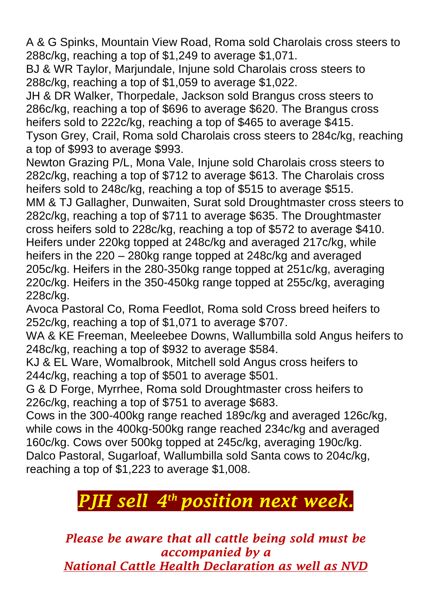A & G Spinks, Mountain View Road, Roma sold Charolais cross steers to 288c/kg, reaching a top of \$1,249 to average \$1,071.

BJ & WR Taylor, Marjundale, Injune sold Charolais cross steers to 288c/kg, reaching a top of \$1,059 to average \$1,022.

JH & DR Walker, Thorpedale, Jackson sold Brangus cross steers to 286c/kg, reaching a top of \$696 to average \$620. The Brangus cross heifers sold to 222c/kg, reaching a top of \$465 to average \$415.

Tyson Grey, Crail, Roma sold Charolais cross steers to 284c/kg, reaching a top of \$993 to average \$993.

Newton Grazing P/L, Mona Vale, Injune sold Charolais cross steers to 282c/kg, reaching a top of \$712 to average \$613. The Charolais cross heifers sold to 248c/kg, reaching a top of \$515 to average \$515.

MM & TJ Gallagher, Dunwaiten, Surat sold Droughtmaster cross steers to 282c/kg, reaching a top of \$711 to average \$635. The Droughtmaster cross heifers sold to 228c/kg, reaching a top of \$572 to average \$410. Heifers under 220kg topped at 248c/kg and averaged 217c/kg, while heifers in the 220 – 280kg range topped at 248c/kg and averaged 205c/kg. Heifers in the 280-350kg range topped at 251c/kg, averaging 220c/kg. Heifers in the 350-450kg range topped at 255c/kg, averaging 228c/kg.

Avoca Pastoral Co, Roma Feedlot, Roma sold Cross breed heifers to 252c/kg, reaching a top of \$1,071 to average \$707.

WA & KE Freeman, Meeleebee Downs, Wallumbilla sold Angus heifers to 248c/kg, reaching a top of \$932 to average \$584.

KJ & EL Ware, Womalbrook, Mitchell sold Angus cross heifers to 244c/kg, reaching a top of \$501 to average \$501.

G & D Forge, Myrrhee, Roma sold Droughtmaster cross heifers to 226c/kg, reaching a top of \$751 to average \$683.

Cows in the 300-400kg range reached 189c/kg and averaged 126c/kg, while cows in the 400kg-500kg range reached 234c/kg and averaged 160c/kg. Cows over 500kg topped at 245c/kg, averaging 190c/kg. Dalco Pastoral, Sugarloaf, Wallumbilla sold Santa cows to 204c/kg, reaching a top of \$1,223 to average \$1,008.

## *PJH sell 4 th position next week.*

*Please be aware that all cattle being sold must be accompanied by a National Cattle Health Declaration as well as NVD*